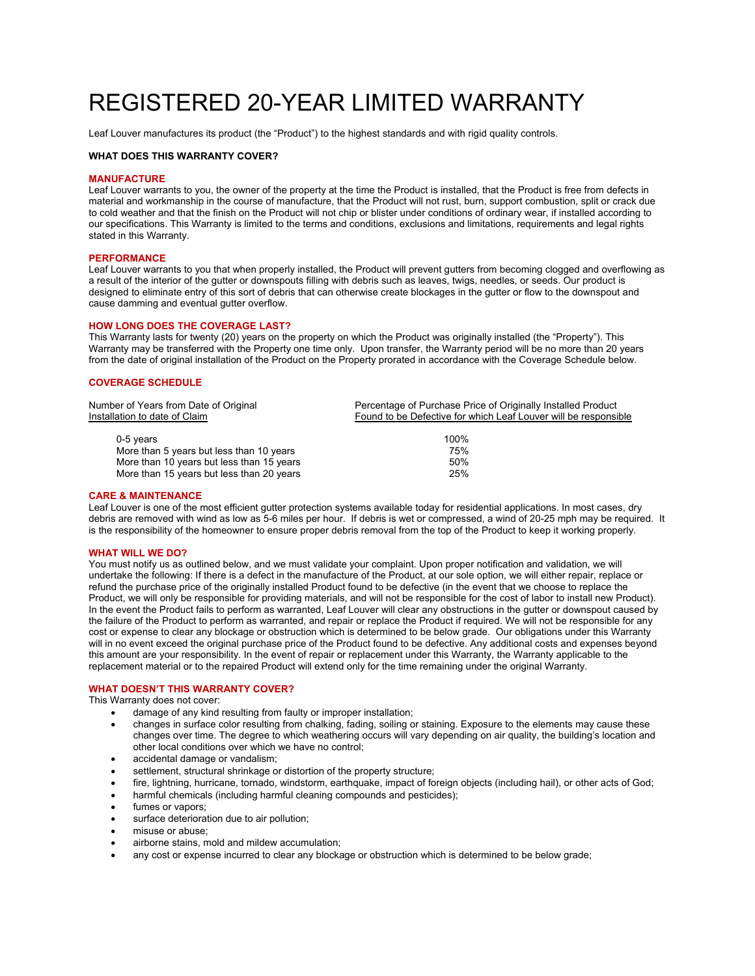# REGISTERED 20-YEAR LIMITED WARRANTY

Leaf Louver manufactures its product (the "Product") to the highest standards and with rigid quality controls.

# **WHAT DOES THIS WARRANTY COVER?**

## **MANUFACTURE**

Leaf Louver warrants to you, the owner of the property at the time the Product is installed, that the Product is free from defects in material and workmanship in the course of manufacture, that the Product will not rust, burn, support combustion, split or crack due to cold weather and that the finish on the Product will not chip or blister under conditions of ordinary wear, if installed according to our specifications. This Warranty is limited to the terms and conditions, exclusions and limitations, requirements and legal rights stated in this Warranty.

# **PERFORMANCE**

Leaf Louver warrants to you that when properly installed, the Product will prevent gutters from becoming clogged and overflowing as a result of the interior of the gutter or downspouts filling with debris such as leaves, twigs, needles, or seeds. Our product is designed to eliminate entry of this sort of debris that can otherwise create blockages in the gutter or flow to the downspout and cause damming and eventual gutter overflow.

## **HOW LONG DOES THE COVERAGE LAST?**

More than 15 years but less than 20 years

This Warranty lasts for twenty (20) years on the property on which the Product was originally installed (the "Property"). This Warranty may be transferred with the Property one time only. Upon transfer, the Warranty period will be no more than 20 years from the date of original installation of the Product on the Property prorated in accordance with the Coverage Schedule below.

# **COVERAGE SCHEDULE**

| Number of Years from Date of Original<br>Installation to date of Claim | Percentage of Purchase Price of Originally Installed Product<br>Found to be Defective for which Leaf Louver will be responsible |
|------------------------------------------------------------------------|---------------------------------------------------------------------------------------------------------------------------------|
|                                                                        |                                                                                                                                 |
| $0-5$ years                                                            | 100%                                                                                                                            |
| More than 5 years but less than 10 years                               | 75%                                                                                                                             |
| More than 10 years but less than 15 years                              | 50%                                                                                                                             |
| More than 15 years but less than 20 years                              | 25%                                                                                                                             |

## **CARE & MAINTENANCE**

Leaf Louver is one of the most efficient gutter protection systems available today for residential applications. In most cases, dry debris are removed with wind as low as 5-6 miles per hour. If debris is wet or compressed, a wind of 20-25 mph may be required. It is the responsibility of the homeowner to ensure proper debris removal from the top of the Product to keep it working properly.

## **WHAT WILL WE DO?**

You must notify us as outlined below, and we must validate your complaint. Upon proper notification and validation, we will undertake the following: If there is a defect in the manufacture of the Product, at our sole option, we will either repair, replace or refund the purchase price of the originally installed Product found to be defective (in the event that we choose to replace the Product, we will only be responsible for providing materials, and will not be responsible for the cost of labor to install new Product). In the event the Product fails to perform as warranted, Leaf Louver will clear any obstructions in the gutter or downspout caused by the failure of the Product to perform as warranted, and repair or replace the Product if required. We will not be responsible for any cost or expense to clear any blockage or obstruction which is determined to be below grade. Our obligations under this Warranty will in no event exceed the original purchase price of the Product found to be defective. Any additional costs and expenses beyond this amount are your responsibility. In the event of repair or replacement under this Warranty, the Warranty applicable to the replacement material or to the repaired Product will extend only for the time remaining under the original Warranty.

# **WHAT DOESN'T THIS WARRANTY COVER?**

This Warranty does not cover:

- damage of any kind resulting from faulty or improper installation;
- changes in surface color resulting from chalking, fading, soiling or staining. Exposure to the elements may cause these changes over time. The degree to which weathering occurs will vary depending on air quality, the building's location and other local conditions over which we have no control;
- accidental damage or vandalism;
- settlement, structural shrinkage or distortion of the property structure;
- fire, lightning, hurricane, tornado, windstorm, earthquake, impact of foreign objects (including hail), or other acts of God;
- harmful chemicals (including harmful cleaning compounds and pesticides);
- fumes or vapors;
- surface deterioration due to air pollution;
- $\bullet$  misuse or abuse;
- airborne stains, mold and mildew accumulation;
- any cost or expense incurred to clear any blockage or obstruction which is determined to be below grade;